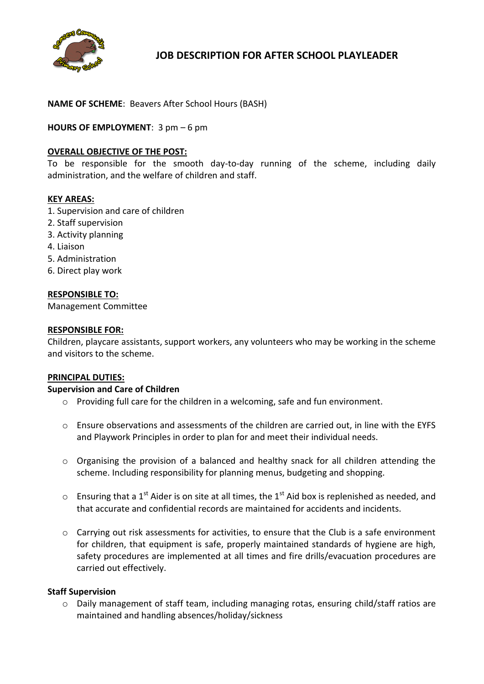

**JOB DESCRIPTION FOR AFTER SCHOOL PLAYLEADER** 

# **NAME OF SCHEME**: Beavers After School Hours (BASH)

## **HOURS OF EMPLOYMENT**: 3 pm – 6 pm

## **OVERALL OBJECTIVE OF THE POST:**

To be responsible for the smooth day-to-day running of the scheme, including daily administration, and the welfare of children and staff.

#### **KEY AREAS:**

- 1. Supervision and care of children
- 2. Staff supervision
- 3. Activity planning
- 4. Liaison
- 5. Administration
- 6. Direct play work

#### **RESPONSIBLE TO:**

Management Committee

#### **RESPONSIBLE FOR:**

Children, playcare assistants, support workers, any volunteers who may be working in the scheme and visitors to the scheme.

#### **PRINCIPAL DUTIES:**

#### **Supervision and Care of Children**

- $\circ$  Providing full care for the children in a welcoming, safe and fun environment.
- $\circ$  Ensure observations and assessments of the children are carried out, in line with the EYFS and Playwork Principles in order to plan for and meet their individual needs.
- o Organising the provision of a balanced and healthy snack for all children attending the scheme. Including responsibility for planning menus, budgeting and shopping.
- $\circ$  Ensuring that a 1<sup>st</sup> Aider is on site at all times, the 1<sup>st</sup> Aid box is replenished as needed, and that accurate and confidential records are maintained for accidents and incidents.
- $\circ$  Carrying out risk assessments for activities, to ensure that the Club is a safe environment for children, that equipment is safe, properly maintained standards of hygiene are high, safety procedures are implemented at all times and fire drills/evacuation procedures are carried out effectively.

#### **Staff Supervision**

 $\circ$  Daily management of staff team, including managing rotas, ensuring child/staff ratios are maintained and handling absences/holiday/sickness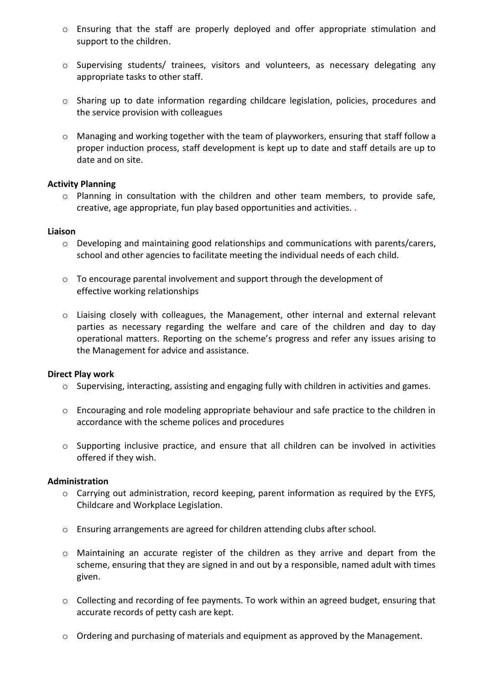- o Ensuring that the staff are properly deployed and offer appropriate stimulation and support to the children.
- o Supervising students/ trainees, visitors and volunteers, as necessary delegating any appropriate tasks to other staff.
- o Sharing up to date information regarding childcare legislation, policies, procedures and the service provision with colleagues
- $\circ$  Managing and working together with the team of playworkers, ensuring that staff follow a proper induction process, staff development is kept up to date and staff details are up to date and on site.

## **Activity Planning**

o Planning in consultation with the children and other team members, to provide safe, creative, age appropriate, fun play based opportunities and activities. .

#### **Liaison**

- o Developing and maintaining good relationships and communications with parents/carers, school and other agencies to facilitate meeting the individual needs of each child.
- $\circ$  To encourage parental involvement and support through the development of effective working relationships
- o Liaising closely with colleagues, the Management, other internal and external relevant parties as necessary regarding the welfare and care of the children and day to day operational matters. Reporting on the scheme's progress and refer any issues arising to the Management for advice and assistance.

## **Direct Play work**

- o Supervising, interacting, assisting and engaging fully with children in activities and games.
- $\circ$  Encouraging and role modeling appropriate behaviour and safe practice to the children in accordance with the scheme polices and procedures
- o Supporting inclusive practice, and ensure that all children can be involved in activities offered if they wish.

## **Administration**

- o Carrying out administration, record keeping, parent information as required by the EYFS, Childcare and Workplace Legislation.
- o Ensuring arrangements are agreed for children attending clubs after school.
- o Maintaining an accurate register of the children as they arrive and depart from the scheme, ensuring that they are signed in and out by a responsible, named adult with times given.
- o Collecting and recording of fee payments. To work within an agreed budget, ensuring that accurate records of petty cash are kept.
- o Ordering and purchasing of materials and equipment as approved by the Management.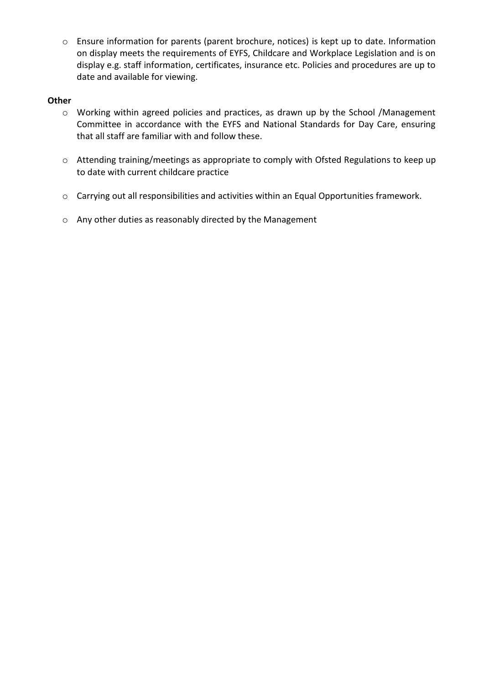o Ensure information for parents (parent brochure, notices) is kept up to date. Information on display meets the requirements of EYFS, Childcare and Workplace Legislation and is on display e.g. staff information, certificates, insurance etc. Policies and procedures are up to date and available for viewing.

## **Other**

- o Working within agreed policies and practices, as drawn up by the School /Management Committee in accordance with the EYFS and National Standards for Day Care, ensuring that all staff are familiar with and follow these.
- o Attending training/meetings as appropriate to comply with Ofsted Regulations to keep up to date with current childcare practice
- o Carrying out all responsibilities and activities within an Equal Opportunities framework.
- o Any other duties as reasonably directed by the Management